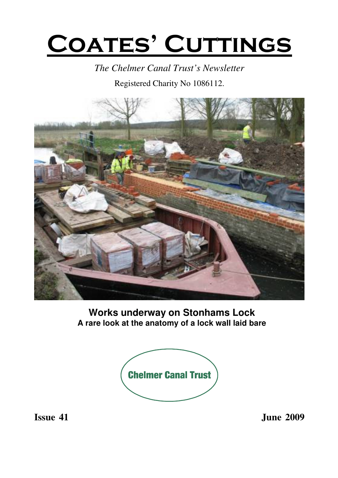# **COATES' CUTTINGS**

*The Chelmer Canal Trust's Newsletter*

Registered Charity No 1086112.



**Works underway on Stonhams Lock A rare look at the anatomy of a lock wall laid bare**



**Issue 41 June 2009**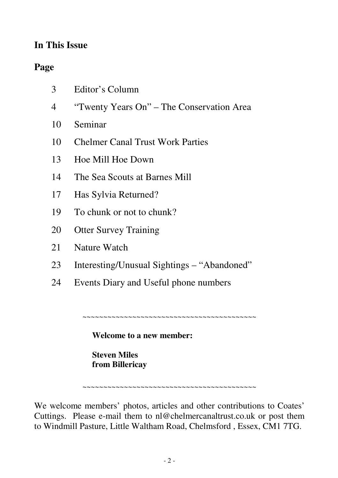#### **In This Issue**

#### **Page**

| 3 | Editor's Column |  |
|---|-----------------|--|
|   |                 |  |

- 4 "Twenty Years On" The Conservation Area
- 10 Seminar
- 10 Chelmer Canal Trust Work Parties
- 13 Hoe Mill Hoe Down
- 14 The Sea Scouts at Barnes Mill
- 17 Has Sylvia Returned?
- 19 To chunk or not to chunk?
- 20 Otter Survey Training
- 21 Nature Watch
- 23 Interesting/Unusual Sightings "Abandoned"
- 24 Events Diary and Useful phone numbers

~~~~~~~~~~~~~~~~~~~~~~~~~~~~~~~~~~~~

**Welcome to a new member:**

**Steven Miles from Billericay**

~~~~~~~~~~~~~~~~~~~~~~~~~~~~~~~~~~~~~~~~~~

We welcome members' photos, articles and other contributions to Coates' Cuttings. Please e-mail them to nl@chelmercanaltrust.co.uk or post them to Windmill Pasture, Little Waltham Road, Chelmsford , Essex, CM1 7TG.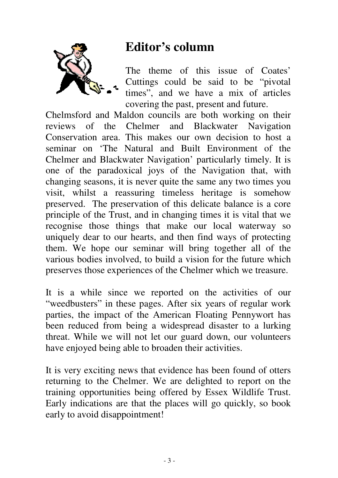

# **Editor's column**

The theme of this issue of Coates' Cuttings could be said to be "pivotal times", and we have a mix of articles covering the past, present and future.

Chelmsford and Maldon councils are both working on their reviews of the Chelmer and Blackwater Navigation Conservation area. This makes our own decision to host a seminar on 'The Natural and Built Environment of the Chelmer and Blackwater Navigation' particularly timely. It is one of the paradoxical joys of the Navigation that, with changing seasons, it is never quite the same any two times you visit, whilst a reassuring timeless heritage is somehow preserved. The preservation of this delicate balance is a core principle of the Trust, and in changing times it is vital that we recognise those things that make our local waterway so uniquely dear to our hearts, and then find ways of protecting them. We hope our seminar will bring together all of the various bodies involved, to build a vision for the future which preserves those experiences of the Chelmer which we treasure.

It is a while since we reported on the activities of our "weedbusters" in these pages. After six years of regular work parties, the impact of the American Floating Pennywort has been reduced from being a widespread disaster to a lurking threat. While we will not let our guard down, our volunteers have enjoyed being able to broaden their activities.

It is very exciting news that evidence has been found of otters returning to the Chelmer. We are delighted to report on the training opportunities being offered by Essex Wildlife Trust. Early indications are that the places will go quickly, so book early to avoid disappointment!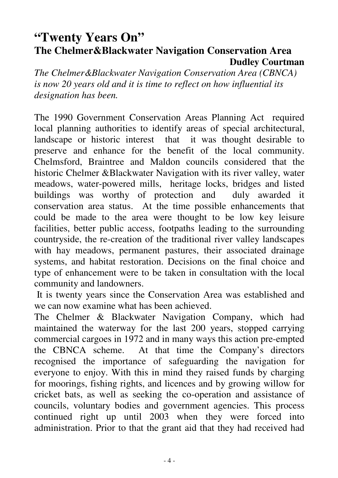#### **"Twenty Years On" The Chelmer&Blackwater Navigation Conservation Area Dudley Courtman**

*The Chelmer&Blackwater Navigation Conservation Area (CBNCA) is now 20 years old and it is time to reflect on how influential its designation has been.*

The 1990 Government Conservation Areas Planning Act required local planning authorities to identify areas of special architectural, landscape or historic interest that it was thought desirable to preserve and enhance for the benefit of the local community. Chelmsford, Braintree and Maldon councils considered that the historic Chelmer &Blackwater Navigation with its river valley, water meadows, water-powered mills, heritage locks, bridges and listed buildings was worthy of protection and duly awarded it conservation area status. At the time possible enhancements that could be made to the area were thought to be low key leisure facilities, better public access, footpaths leading to the surrounding countryside, the re-creation of the traditional river valley landscapes with hay meadows, permanent pastures, their associated drainage systems, and habitat restoration. Decisions on the final choice and type of enhancement were to be taken in consultation with the local community and landowners.

It is twenty years since the Conservation Area was established and we can now examine what has been achieved.

The Chelmer & Blackwater Navigation Company, which had maintained the waterway for the last 200 years, stopped carrying commercial cargoes in 1972 and in many ways this action pre-empted the CBNCA scheme. At that time the Company's directors recognised the importance of safeguarding the navigation for everyone to enjoy. With this in mind they raised funds by charging for moorings, fishing rights, and licences and by growing willow for cricket bats, as well as seeking the co-operation and assistance of councils, voluntary bodies and government agencies. This process continued right up until 2003 when they were forced into administration. Prior to that the grant aid that they had received had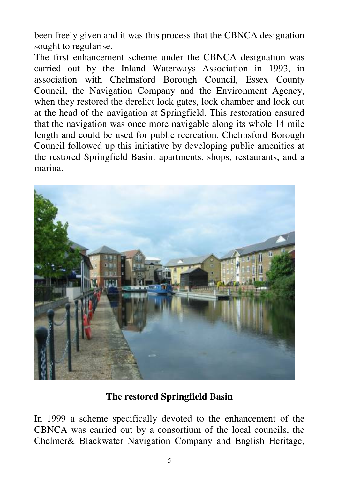been freely given and it was this process that the CBNCA designation sought to regularise.

The first enhancement scheme under the CBNCA designation was carried out by the Inland Waterways Association in 1993, in association with Chelmsford Borough Council, Essex County Council, the Navigation Company and the Environment Agency, when they restored the derelict lock gates, lock chamber and lock cut at the head of the navigation at Springfield. This restoration ensured that the navigation was once more navigable along its whole 14 mile length and could be used for public recreation. Chelmsford Borough Council followed up this initiative by developing public amenities at the restored Springfield Basin: apartments, shops, restaurants, and a marina.



#### **The restored Springfield Basin**

In 1999 a scheme specifically devoted to the enhancement of the CBNCA was carried out by a consortium of the local councils, the Chelmer& Blackwater Navigation Company and English Heritage,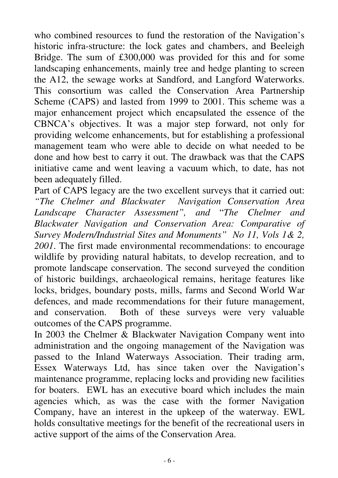who combined resources to fund the restoration of the Navigation's historic infra-structure: the lock gates and chambers, and Beeleigh Bridge. The sum of £300,000 was provided for this and for some landscaping enhancements, mainly tree and hedge planting to screen the A12, the sewage works at Sandford, and Langford Waterworks. This consortium was called the Conservation Area Partnership Scheme (CAPS) and lasted from 1999 to 2001. This scheme was a major enhancement project which encapsulated the essence of the CBNCA's objectives. It was a major step forward, not only for providing welcome enhancements, but for establishing a professional management team who were able to decide on what needed to be done and how best to carry it out. The drawback was that the CAPS initiative came and went leaving a vacuum which, to date, has not been adequately filled.

Part of CAPS legacy are the two excellent surveys that it carried out: *"The Chelmer and Blackwater Navigation Conservation Area Landscape Character Assessment", and* "*The Chelmer and Blackwater Navigation and Conservation Area: Comparative of Survey Modern/Industrial Sites and Monuments" No 11, Vols 1& 2, 2001*. The first made environmental recommendations: to encourage wildlife by providing natural habitats, to develop recreation, and to promote landscape conservation. The second surveyed the condition of historic buildings, archaeological remains, heritage features like locks, bridges, boundary posts, mills, farms and Second World War defences, and made recommendations for their future management, and conservation. Both of these surveys were very valuable outcomes of the CAPS programme.

In 2003 the Chelmer & Blackwater Navigation Company went into administration and the ongoing management of the Navigation was passed to the Inland Waterways Association. Their trading arm, Essex Waterways Ltd, has since taken over the Navigation's maintenance programme, replacing locks and providing new facilities for boaters. EWL has an executive board which includes the main agencies which, as was the case with the former Navigation Company, have an interest in the upkeep of the waterway. EWL holds consultative meetings for the benefit of the recreational users in active support of the aims of the Conservation Area.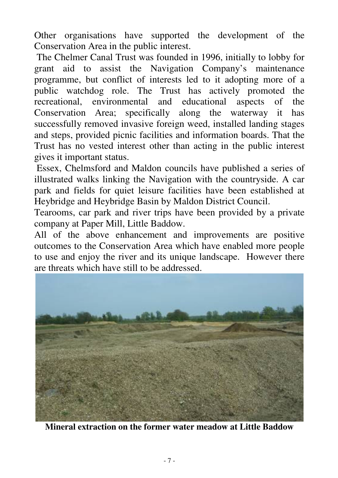Other organisations have supported the development of the Conservation Area in the public interest.

The Chelmer Canal Trust was founded in 1996, initially to lobby for grant aid to assist the Navigation Company's maintenance programme, but conflict of interests led to it adopting more of a public watchdog role. The Trust has actively promoted the recreational, environmental and educational aspects of the Conservation Area; specifically along the waterway it has successfully removed invasive foreign weed, installed landing stages and steps, provided picnic facilities and information boards. That the Trust has no vested interest other than acting in the public interest gives it important status.

Essex, Chelmsford and Maldon councils have published a series of illustrated walks linking the Navigation with the countryside. A car park and fields for quiet leisure facilities have been established at Heybridge and Heybridge Basin by Maldon District Council.

Tearooms, car park and river trips have been provided by a private company at Paper Mill, Little Baddow.

All of the above enhancement and improvements are positive outcomes to the Conservation Area which have enabled more people to use and enjoy the river and its unique landscape. However there are threats which have still to be addressed.



**Mineral extraction on the former water meadow at Little Baddow**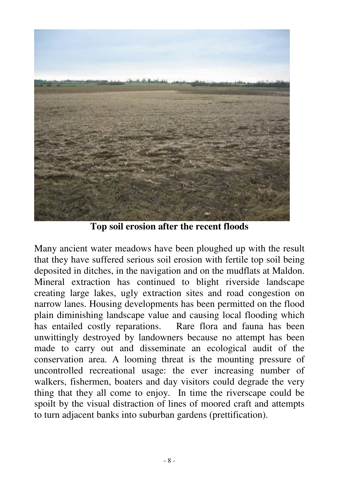

**Top soil erosion after the recent floods**

Many ancient water meadows have been ploughed up with the result that they have suffered serious soil erosion with fertile top soil being deposited in ditches, in the navigation and on the mudflats at Maldon. Mineral extraction has continued to blight riverside landscape creating large lakes, ugly extraction sites and road congestion on narrow lanes. Housing developments has been permitted on the flood plain diminishing landscape value and causing local flooding which has entailed costly reparations. Rare flora and fauna has been unwittingly destroyed by landowners because no attempt has been made to carry out and disseminate an ecological audit of the conservation area. A looming threat is the mounting pressure of uncontrolled recreational usage: the ever increasing number of walkers, fishermen, boaters and day visitors could degrade the very thing that they all come to enjoy. In time the riverscape could be spoilt by the visual distraction of lines of moored craft and attempts to turn adjacent banks into suburban gardens (prettification).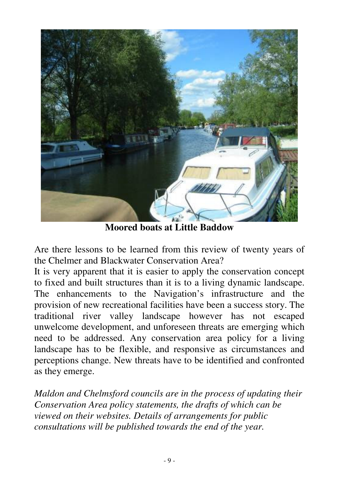

**Moored boats at Little Baddow**

Are there lessons to be learned from this review of twenty years of the Chelmer and Blackwater Conservation Area?

It is very apparent that it is easier to apply the conservation concept to fixed and built structures than it is to a living dynamic landscape. The enhancements to the Navigation's infrastructure and the provision of new recreational facilities have been a success story. The traditional river valley landscape however has not escaped unwelcome development, and unforeseen threats are emerging which need to be addressed. Any conservation area policy for a living landscape has to be flexible, and responsive as circumstances and perceptions change. New threats have to be identified and confronted as they emerge.

*Maldon and Chelmsford councils are in the process of updating their Conservation Area policy statements, the drafts of which can be viewed on their websites. Details of arrangements for public consultations will be published towards the end of the year.*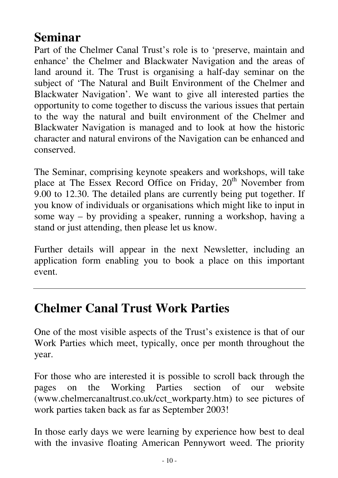## **Seminar**

Part of the Chelmer Canal Trust's role is to 'preserve, maintain and enhance' the Chelmer and Blackwater Navigation and the areas of land around it. The Trust is organising a half-day seminar on the subject of 'The Natural and Built Environment of the Chelmer and Blackwater Navigation'. We want to give all interested parties the opportunity to come together to discuss the various issues that pertain to the way the natural and built environment of the Chelmer and Blackwater Navigation is managed and to look at how the historic character and natural environs of the Navigation can be enhanced and conserved.

The Seminar, comprising keynote speakers and workshops, will take place at The Essex Record Office on Friday, 20<sup>th</sup> November from 9.00 to 12.30. The detailed plans are currently being put together. If you know of individuals or organisations which might like to input in some way – by providing a speaker, running a workshop, having a stand or just attending, then please let us know.

Further details will appear in the next Newsletter, including an application form enabling you to book a place on this important event.

## **Chelmer Canal Trust Work Parties**

One of the most visible aspects of the Trust's existence is that of our Work Parties which meet, typically, once per month throughout the year.

For those who are interested it is possible to scroll back through the pages on the Working Parties section of our website (www.chelmercanaltrust.co.uk/cct\_workparty.htm) to see pictures of work parties taken back as far as September 2003!

In those early days we were learning by experience how best to deal with the invasive floating American Pennywort weed. The priority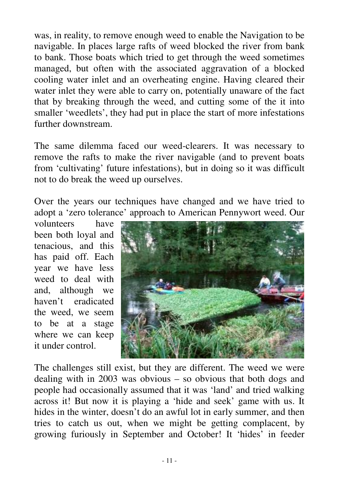was, in reality, to remove enough weed to enable the Navigation to be navigable. In places large rafts of weed blocked the river from bank to bank. Those boats which tried to get through the weed sometimes managed, but often with the associated aggravation of a blocked cooling water inlet and an overheating engine. Having cleared their water inlet they were able to carry on, potentially unaware of the fact that by breaking through the weed, and cutting some of the it into smaller 'weedlets', they had put in place the start of more infestations further downstream.

The same dilemma faced our weed-clearers. It was necessary to remove the rafts to make the river navigable (and to prevent boats from 'cultivating' future infestations), but in doing so it was difficult not to do break the weed up ourselves.

Over the years our techniques have changed and we have tried to adopt a 'zero tolerance' approach to American Pennywort weed. Our

volunteers have been both loyal and tenacious, and this has paid off. Each year we have less weed to deal with and, although we haven't eradicated the weed, we seem to be at a stage where we can keep it under control.



The challenges still exist, but they are different. The weed we were dealing with in 2003 was obvious – so obvious that both dogs and people had occasionally assumed that it was 'land' and tried walking across it! But now it is playing a 'hide and seek' game with us. It hides in the winter, doesn't do an awful lot in early summer, and then tries to catch us out, when we might be getting complacent, by growing furiously in September and October! It 'hides' in feeder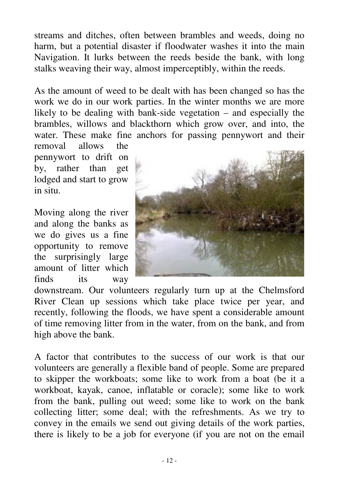streams and ditches, often between brambles and weeds, doing no harm, but a potential disaster if floodwater washes it into the main Navigation. It lurks between the reeds beside the bank, with long stalks weaving their way, almost imperceptibly, within the reeds.

As the amount of weed to be dealt with has been changed so has the work we do in our work parties. In the winter months we are more likely to be dealing with bank-side vegetation – and especially the brambles, willows and blackthorn which grow over, and into, the water. These make fine anchors for passing pennywort and their

removal allows the pennywort to drift on by, rather than get lodged and start to grow in situ.

Moving along the river and along the banks as we do gives us a fine opportunity to remove the surprisingly large amount of litter which finds its way



downstream. Our volunteers regularly turn up at the Chelmsford River Clean up sessions which take place twice per year, and recently, following the floods, we have spent a considerable amount of time removing litter from in the water, from on the bank, and from high above the bank.

A factor that contributes to the success of our work is that our volunteers are generally a flexible band of people. Some are prepared to skipper the workboats; some like to work from a boat (be it a workboat, kayak, canoe, inflatable or coracle); some like to work from the bank, pulling out weed; some like to work on the bank collecting litter; some deal; with the refreshments. As we try to convey in the emails we send out giving details of the work parties, there is likely to be a job for everyone (if you are not on the email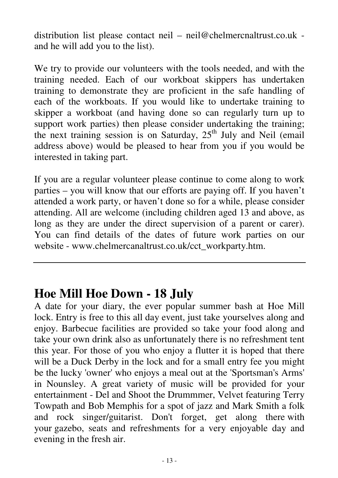distribution list please contact neil – neil@chelmercnaltrust.co.uk and he will add you to the list).

We try to provide our volunteers with the tools needed, and with the training needed. Each of our workboat skippers has undertaken training to demonstrate they are proficient in the safe handling of each of the workboats. If you would like to undertake training to skipper a workboat (and having done so can regularly turn up to support work parties) then please consider undertaking the training; the next training session is on Saturday, 25<sup>th</sup> July and Neil (email address above) would be pleased to hear from you if you would be interested in taking part.

If you are a regular volunteer please continue to come along to work parties – you will know that our efforts are paying off. If you haven't attended a work party, or haven't done so for a while, please consider attending. All are welcome (including children aged 13 and above, as long as they are under the direct supervision of a parent or carer). You can find details of the dates of future work parties on our website - www.chelmercanaltrust.co.uk/cct\_workparty.htm.

## **Hoe Mill Hoe Down - 18 July**

A date for your diary, the ever popular summer bash at Hoe Mill lock. Entry is free to this all day event, just take yourselves along and enjoy. Barbecue facilities are provided so take your food along and take your own drink also as unfortunately there is no refreshment tent this year. For those of you who enjoy a flutter it is hoped that there will be a Duck Derby in the lock and for a small entry fee you might be the lucky 'owner'who enjoys a meal out at the 'Sportsman's Arms' in Nounsley. A great variety of music will be provided for your entertainment - Del and Shoot the Drummmer, Velvet featuring Terry Towpath and Bob Memphis for a spot of jazz and Mark Smith a folk and rock singer/guitarist. Don't forget, get along there with your gazebo, seats and refreshments for a very enjoyable day and evening in the fresh air.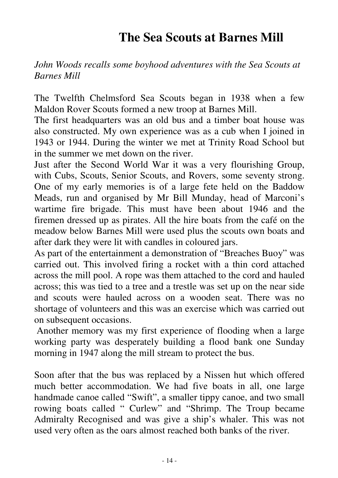# **The Sea Scouts at Barnes Mill**

#### *John Woods recalls some boyhood adventures with the Sea Scouts at Barnes Mill*

The Twelfth Chelmsford Sea Scouts began in 1938 when a few Maldon Rover Scouts formed a new troop at Barnes Mill.

The first headquarters was an old bus and a timber boat house was also constructed. My own experience was as a cub when I joined in 1943 or 1944. During the winter we met at Trinity Road School but in the summer we met down on the river.

Just after the Second World War it was a very flourishing Group, with Cubs, Scouts, Senior Scouts, and Rovers, some seventy strong. One of my early memories is of a large fete held on the Baddow Meads, run and organised by Mr Bill Munday, head of Marconi's wartime fire brigade. This must have been about 1946 and the firemen dressed up as pirates. All the hire boats from the café on the meadow below Barnes Mill were used plus the scouts own boats and after dark they were lit with candles in coloured jars.

As part of the entertainment a demonstration of "Breaches Buoy" was carried out. This involved firing a rocket with a thin cord attached across the mill pool. A rope was them attached to the cord and hauled across; this was tied to a tree and a trestle was set up on the near side and scouts were hauled across on a wooden seat. There was no shortage of volunteers and this was an exercise which was carried out on subsequent occasions.

Another memory was my first experience of flooding when a large working party was desperately building a flood bank one Sunday morning in 1947 along the mill stream to protect the bus.

Soon after that the bus was replaced by a Nissen hut which offered much better accommodation. We had five boats in all, one large handmade canoe called "Swift", a smaller tippy canoe, and two small rowing boats called " Curlew" and "Shrimp. The Troup became Admiralty Recognised and was give a ship's whaler. This was not used very often as the oars almost reached both banks of the river.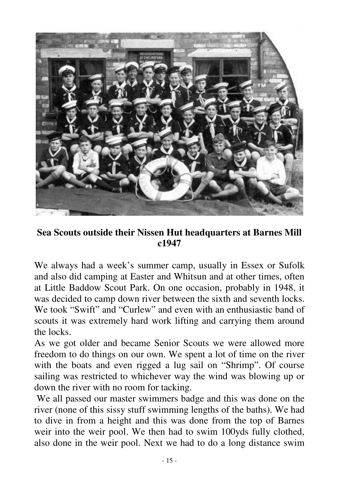

**Sea Scouts outside their Nissen Hut headquarters at Barnes Mill c1947**

We always had a week's summer camp, usually in Essex or Sufolk and also did camping at Easter and Whitsun and at other times, often at Little Baddow Scout Park. On one occasion, probably in 1948, it was decided to camp down river between the sixth and seventh locks. We took "Swift" and "Curlew" and even with an enthusiastic band of scouts it was extremely hard work lifting and carrying them around the locks.

As we got older and became Senior Scouts we were allowed more freedom to do things on our own. We spent a lot of time on the river with the boats and even rigged a lug sail on "Shrimp". Of course sailing was restricted to whichever way the wind was blowing up or down the river with no room for tacking.

We all passed our master swimmers badge and this was done on the river (none of this sissy stuff swimming lengths of the baths). We had to dive in from a height and this was done from the top of Barnes weir into the weir pool. We then had to swim 100yds fully clothed, also done in the weir pool. Next we had to do a long distance swim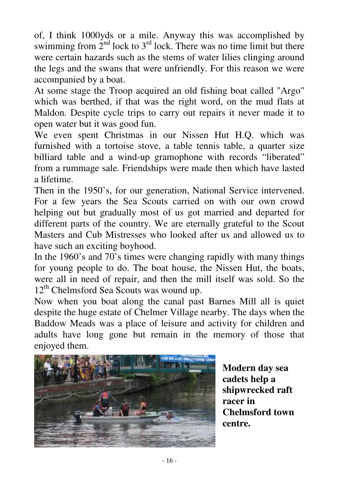of, I think 1000yds or a mile. Anyway this was accomplished by swimming from  $2<sup>nd</sup>$  lock to  $3<sup>rd</sup>$  lock. There was no time limit but there were certain hazards such as the stems of water lilies clinging around the legs and the swans that were unfriendly. For this reason we were accompanied by a boat.

At some stage the Troop acquired an old fishing boat called "Argo" which was berthed, if that was the right word, on the mud flats at Maldon. Despite cycle trips to carry out repairs it never made it to open water but it was good fun.

We even spent Christmas in our Nissen Hut H.Q. which was furnished with a tortoise stove, a table tennis table, a quarter size billiard table and a wind-up gramophone with records "liberated" from a rummage sale. Friendships were made then which have lasted a lifetime.

Then in the 1950's, for our generation, National Service intervened. For a few years the Sea Scouts carried on with our own crowd helping out but gradually most of us got married and departed for different parts of the country. We are eternally grateful to the Scout Masters and Cub Mistresses who looked after us and allowed us to have such an exciting boyhood.

In the 1960's and 70's times were changing rapidly with many things for young people to do. The boat house, the Nissen Hut, the boats, were all in need of repair, and then the mill itself was sold. So the 12<sup>th</sup> Chelmsford Sea Scouts was wound up.

Now when you boat along the canal past Barnes Mill all is quiet despite the huge estate of Chelmer Village nearby. The days when the Baddow Meads was a place of leisure and activity for children and adults have long gone but remain in the memory of those that enjoyed them.



**Modern day sea cadets help a shipwrecked raft racer in Chelmsford town centre.**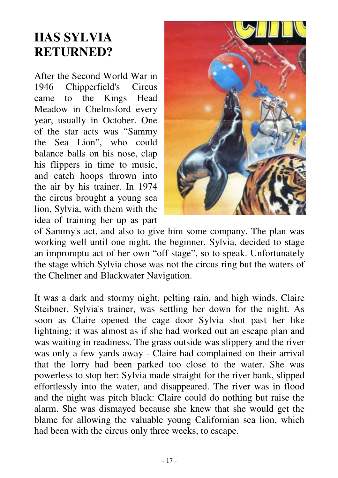# **HAS SYLVIA RETURNED?**

After the Second World War in 1946 Chipperfield's Circus came to the Kings Head Meadow in Chelmsford every year, usually in October. One of the star acts was "Sammy the Sea Lion", who could balance balls on his nose, clap his flippers in time to music, and catch hoops thrown into the air by his trainer. In 1974 the circus brought a young sea lion, Sylvia, with them with the idea of training her up as part



of Sammy's act, and also to give him some company. The plan was working well until one night, the beginner, Sylvia, decided to stage an impromptu act of her own "off stage", so to speak. Unfortunately the stage which Sylvia chose was not the circus ring but the waters of the Chelmer and Blackwater Navigation.

It was a dark and stormy night, pelting rain, and high winds. Claire Steibner, Sylvia's trainer, was settling her down for the night. As soon as Claire opened the cage door Sylvia shot past her like lightning; it was almost as if she had worked out an escape plan and was waiting in readiness. The grass outside was slippery and the river was only a few yards away - Claire had complained on their arrival that the lorry had been parked too close to the water. She was powerless to stop her: Sylvia made straight for the river bank, slipped effortlessly into the water, and disappeared. The river was in flood and the night was pitch black: Claire could do nothing but raise the alarm. She was dismayed because she knew that she would get the blame for allowing the valuable young Californian sea lion, which had been with the circus only three weeks, to escape.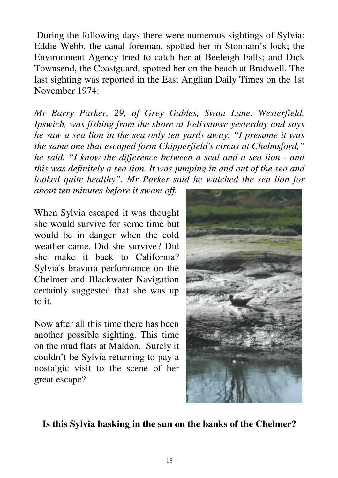During the following days there were numerous sightings of Sylvia: Eddie Webb, the canal foreman, spotted her in Stonham's lock; the Environment Agency tried to catch her at Beeleigh Falls; and Dick Townsend, the Coastguard, spotted her on the beach at Bradwell. The last sighting was reported in the East Anglian Daily Times on the 1st November 1974:

*Mr Barry Parker, 29, of Grey Gables, Swan Lane. Westerfield, Ipswich, was fishing from the shore at Felixstowe yesterday and says he saw a sea lion in the sea only ten yards away. "I presume it was the same one that escaped form Chipperfield's circus at Chelmsford," he said. "I know the difference between a seal and a sea lion - and this was definitely a sea lion. It was jumping in and out of the sea and looked quite healthy". Mr Parker said he watched the sea lion for*

*about ten minutes before it swam off.*

When Sylvia escaped it was thought she would survive for some time but would be in danger when the cold weather came. Did she survive? Did she make it back to California? Sylvia's bravura performance on the Chelmer and Blackwater Navigation certainly suggested that she was up to it.

Now after all this time there has been another possible sighting. This time on the mud flats at Maldon. Surely it couldn't be Sylvia returning to pay a nostalgic visit to the scene of her great escape?



#### **Is this Sylvia basking in the sun on the banks of the Chelmer?**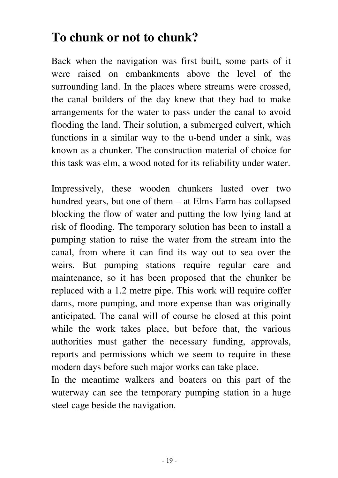# **To chunk or not to chunk?**

Back when the navigation was first built, some parts of it were raised on embankments above the level of the surrounding land. In the places where streams were crossed, the canal builders of the day knew that they had to make arrangements for the water to pass under the canal to avoid flooding the land. Their solution, a submerged culvert, which functions in a similar way to the u-bend under a sink, was known as a chunker. The construction material of choice for this task was elm, a wood noted for its reliability under water.

Impressively, these wooden chunkers lasted over two hundred years, but one of them – at Elms Farm has collapsed blocking the flow of water and putting the low lying land at risk of flooding. The temporary solution has been to install a pumping station to raise the water from the stream into the canal, from where it can find its way out to sea over the weirs. But pumping stations require regular care and maintenance, so it has been proposed that the chunker be replaced with a 1.2 metre pipe. This work will require coffer dams, more pumping, and more expense than was originally anticipated. The canal will of course be closed at this point while the work takes place, but before that, the various authorities must gather the necessary funding, approvals, reports and permissions which we seem to require in these modern days before such major works can take place.

In the meantime walkers and boaters on this part of the waterway can see the temporary pumping station in a huge steel cage beside the navigation.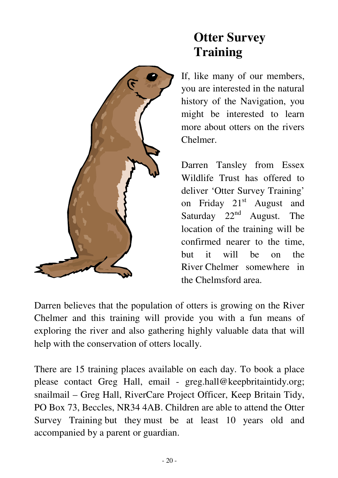

# **Otter Survey Training**

If, like many of our members, you are interested in the natural history of the Navigation, you might be interested to learn more about otters on the rivers Chelmer.

Darren Tansley from Essex Wildlife Trust has offered to deliver 'Otter Survey Training' on Friday 21<sup>st</sup> August and Saturday  $22<sup>nd</sup>$  August. The location of the training will be confirmed nearer to the time, but it will be on the River Chelmer somewhere in the Chelmsford area.

Darren believes that the population of otters is growing on the River Chelmer and this training will provide you with a fun means of exploring the river and also gathering highly valuable data that will help with the conservation of otters locally.

There are 15 training places available on each day. To book a place please contact Greg Hall, email - greg.hall@keepbritaintidy.org; snailmail – Greg Hall, RiverCare Project Officer, Keep Britain Tidy, PO Box 73, Beccles, NR34 4AB. Children are able to attend the Otter Survey Training but they must be at least 10 years old and accompanied by a parent or guardian.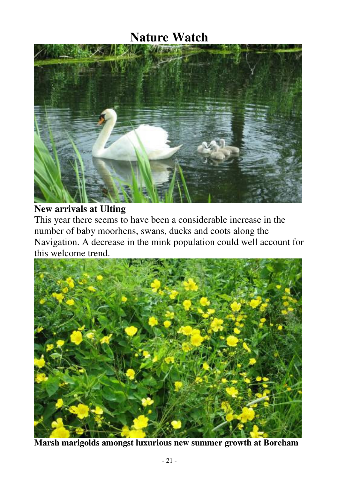## **Nature Watch**



**New arrivals at Ulting**

This year there seems to have been a considerable increase in the number of baby moorhens, swans, ducks and coots along the Navigation. A decrease in the mink population could well account for this welcome trend.



**Marsh marigolds amongst luxurious new summer growth at Boreham**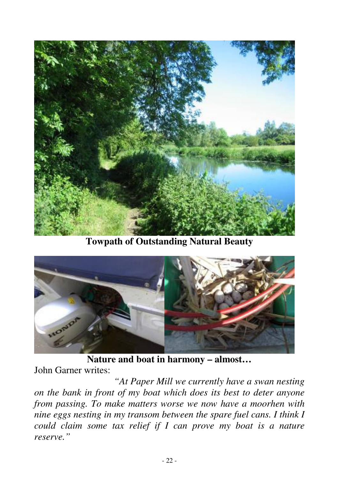

**Towpath of Outstanding Natural Beauty**



**Nature and boat in harmony – almost…**

John Garner writes:

*"At Paper Mill we currently have a swan nesting on the bank in front of my boat which does its best to deter anyone from passing. To make matters worse we now have a moorhen with nine eggs nesting in my transom between the spare fuel cans. I think I could claim some tax relief if I can prove my boat is a nature reserve."*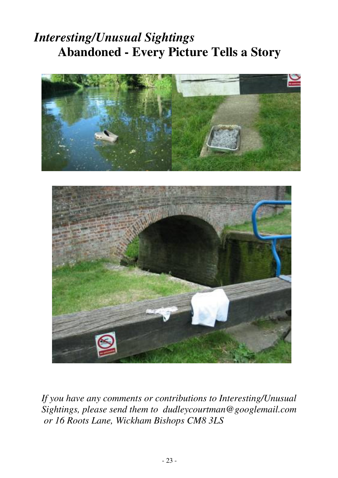# *Interesting/Unusual Sightings* **Abandoned - Every Picture Tells a Story**





*If you have any comments or contributions to Interesting/Unusual Sightings, please send them to dudleycourtman@googlemail.com or 16 Roots Lane, Wickham Bishops CM8 3LS*